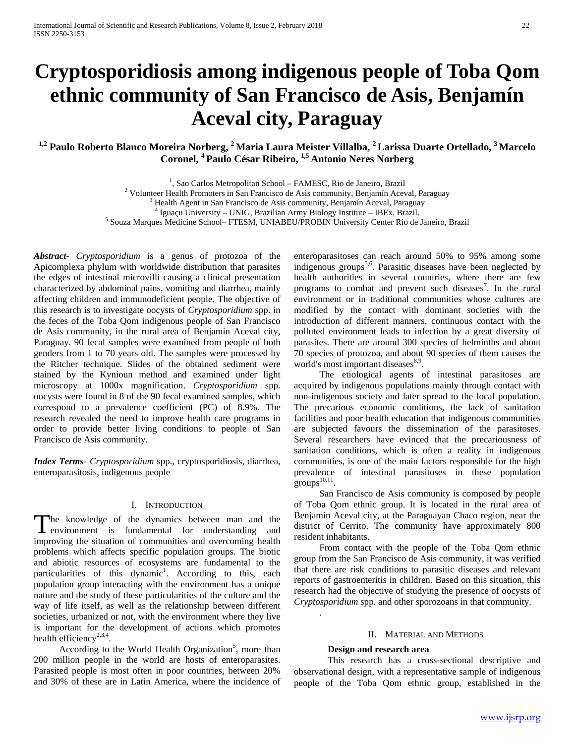# **Cryptosporidiosis among indigenous people of Toba Qom ethnic community of San Francisco de Asis, Benjamín Aceval city, Paraguay**

# <sup>1,2</sup> Paulo Roberto Blanco Moreira Norberg, <sup>2</sup> Maria Laura Meister Villalba, <sup>2</sup> Larissa Duarte Ortellado, <sup>3</sup> Marcelo **Coronel, 4 Paulo César Ribeiro, 1,5 Antonio Neres Norberg**

<sup>1</sup>, Sao Carlos Metropolitan School – FAMESC, Rio de Janeiro, Brazil

<sup>2</sup> Volunteer Health Promoters in San Francisco de Asis community, Benjamín Aceval, Paraguay<br>
<sup>3</sup> Health Agent in San Francisco de Asis community, Benjamín Aceval, Paraguay<br>
<sup>4</sup> Iguaçu University – UNIG, Brazilian Army Bi

*Abstract***-** *Cryptosporidium* is a genus of protozoa of the Apicomplexa phylum with worldwide distribution that parasites the edges of intestinal microvilli causing a clinical presentation characterized by abdominal pains, vomiting and diarrhea, mainly affecting children and immunodeficient people. The objective of this research is to investigate oocysts of *Cryptosporidium* spp. in the feces of the Toba Qom indigenous people of San Francisco de Asis community, in the rural area of Benjamín Aceval city, Paraguay. 90 fecal samples were examined from people of both genders from 1 to 70 years old. The samples were processed by the Ritcher technique. Slides of the obtained sediment were stained by the Kynioun method and examined under light microscopy at 1000x magnification. *Cryptosporidium* spp. oocysts were found in 8 of the 90 fecal examined samples, which correspond to a prevalence coefficient (PC) of 8.9%. The research revealed the need to improve health care programs in order to provide better living conditions to people of San Francisco de Asis community.

*Index Terms*- *Cryptosporidium* spp., cryptosporidiosis, diarrhea, enteroparasitosis, indigenous people

#### I. INTRODUCTION

he knowledge of the dynamics between man and the The knowledge of the dynamics between man and the environment is fundamental for understanding and improving the situation of communities and overcoming health problems which affects specific population groups. The biotic and abiotic resources of ecosystems are fundamental to the particularities of this dynamic<sup>1</sup>. According to this, each population group interacting with the environment has a unique nature and the study of these particularities of the culture and the way of life itself, as well as the relationship between different societies, urbanized or not, with the environment where they live is important for the development of actions which promotes health efficiency<sup>2,3,4</sup>.

According to the World Health Organization<sup>5</sup>, more than 200 million people in the world are hosts of enteroparasites. Parasited people is most often in poor countries, between 20% and 30% of these are in Latin America, where the incidence of

enteroparasitoses can reach around 50% to 95% among some indigenous groups<sup>5,6</sup>. Parasitic diseases have been neglected by health authorities in several countries, where there are few programs to combat and prevent such diseases<sup>7</sup>. In the rural environment or in traditional communities whose cultures are modified by the contact with dominant societies with the introduction of different manners, continuous contact with the polluted environment leads to infection by a great diversity of parasites. There are around 300 species of helminths and about 70 species of protozoa, and about 90 species of them causes the world's most important diseases<sup>8,9</sup>.

The etiological agents of intestinal parasitoses are acquired by indigenous populations mainly through contact with non-indigenous society and later spread to the local population. The precarious economic conditions, the lack of sanitation facilities and poor health education that indigenous communities are subjected favours the dissemination of the parasitoses. Several researchers have evinced that the precariousness of sanitation conditions, which is often a reality in indigenous communities, is one of the main factors responsible for the high prevalence of intestinal parasitoses in these population groups $^{10,11}$ .

San Francisco de Asis community is composed by people of Toba Qom ethnic group. It is located in the rural area of Benjamín Aceval city, at the Paraguayan Chaco region, near the district of Cerrito. The community have approximately 800 resident inhabitants.

From contact with the people of the Toba Qom ethnic group from the San Francisco de Asis community, it was verified that there are risk conditions to parasitic diseases and relevant reports of gastroenteritis in children. Based on this situation, this research had the objective of studying the presence of oocysts of *Cryptosporidium* spp. and other sporozoans in that community.

#### II. MATERIAL AND METHODS

## **Design and research area**

.

This research has a cross-sectional descriptive and observational design, with a representative sample of indigenous people of the Toba Qom ethnic group, established in the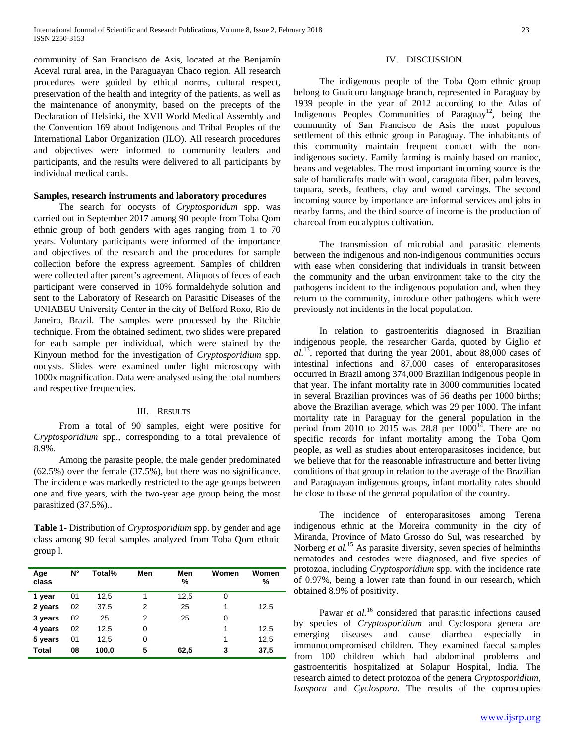community of San Francisco de Asis, located at the Benjamín Aceval rural area, in the Paraguayan Chaco region. All research procedures were guided by ethical norms, cultural respect, preservation of the health and integrity of the patients, as well as the maintenance of anonymity, based on the precepts of the Declaration of Helsinki, the XVII World Medical Assembly and the Convention 169 about Indigenous and Tribal Peoples of the International Labor Organization (ILO). All research procedures and objectives were informed to community leaders and participants, and the results were delivered to all participants by individual medical cards.

#### **Samples, research instruments and laboratory procedures**

The search for oocysts of *Cryptosporidum* spp. was carried out in September 2017 among 90 people from Toba Qom ethnic group of both genders with ages ranging from 1 to 70 years. Voluntary participants were informed of the importance and objectives of the research and the procedures for sample collection before the express agreement. Samples of children were collected after parent's agreement. Aliquots of feces of each participant were conserved in 10% formaldehyde solution and sent to the Laboratory of Research on Parasitic Diseases of the UNIABEU University Center in the city of Belford Roxo, Rio de Janeiro, Brazil. The samples were processed by the Ritchie technique. From the obtained sediment, two slides were prepared for each sample per individual, which were stained by the Kinyoun method for the investigation of *Cryptosporidium* spp. oocysts. Slides were examined under light microscopy with 1000x magnification. Data were analysed using the total numbers and respective frequencies.

#### III. RESULTS

From a total of 90 samples, eight were positive for *Cryptosporidium* spp., corresponding to a total prevalence of 8.9%.

Among the parasite people, the male gender predominated (62.5%) over the female (37.5%), but there was no significance. The incidence was markedly restricted to the age groups between one and five years, with the two-year age group being the most parasitized (37.5%)..

**Table 1-** Distribution of *Cryptosporidium* spp. by gender and age class among 90 fecal samples analyzed from Toba Qom ethnic group l.

| Age<br>class | N° | Total% | Men | Men<br>% | Women | Women<br>% |
|--------------|----|--------|-----|----------|-------|------------|
| 1 year       | 01 | 12,5   |     | 12,5     | 0     |            |
| 2 years      | 02 | 37,5   | 2   | 25       | 1     | 12,5       |
| 3 years      | 02 | 25     | 2   | 25       | 0     |            |
| 4 years      | 02 | 12,5   | 0   |          | 1     | 12,5       |
| 5 years      | 01 | 12,5   | 0   |          | 1     | 12,5       |
| Total        | 08 | 100,0  | 5   | 62,5     | 3     | 37,5       |

#### IV. DISCUSSION

The indigenous people of the Toba Qom ethnic group belong to Guaicuru language branch, represented in Paraguay by 1939 people in the year of 2012 according to the Atlas of Indigenous Peoples Communities of Paraguay<sup>12</sup>, being the community of San Francisco de Asis the most populous settlement of this ethnic group in Paraguay. The inhabitants of this community maintain frequent contact with the nonindigenous society. Family farming is mainly based on manioc, beans and vegetables. The most important incoming source is the sale of handicrafts made with wool, caraguata fiber, palm leaves, taquara, seeds, feathers, clay and wood carvings. The second incoming source by importance are informal services and jobs in nearby farms, and the third source of income is the production of charcoal from eucalyptus cultivation.

The transmission of microbial and parasitic elements between the indigenous and non-indigenous communities occurs with ease when considering that individuals in transit between the community and the urban environment take to the city the pathogens incident to the indigenous population and, when they return to the community, introduce other pathogens which were previously not incidents in the local population.

In relation to gastroenteritis diagnosed in Brazilian indigenous people, the researcher Garda, quoted by Giglio *et al.*13, reported that during the year 2001, about 88,000 cases of intestinal infections and 87,000 cases of enteroparasitoses occurred in Brazil among 374,000 Brazilian indigenous people in that year. The infant mortality rate in 3000 communities located in several Brazilian provinces was of 56 deaths per 1000 births; above the Brazilian average, which was 29 per 1000. The infant mortality rate in Paraguay for the general population in the period from 2010 to 2015 was 28.8 per  $1000^{14}$ . There are no specific records for infant mortality among the Toba Qom people, as well as studies about enteroparasitoses incidence, but we believe that for the reasonable infrastructure and better living conditions of that group in relation to the average of the Brazilian and Paraguayan indigenous groups, infant mortality rates should be close to those of the general population of the country.

The incidence of enteroparasitoses among Terena indigenous ethnic at the Moreira community in the city of Miranda, Province of Mato Grosso do Sul, was researched by Norberg *et al.*<sup>15</sup> As parasite diversity, seven species of helminths nematodes and cestodes were diagnosed, and five species of protozoa, including *Cryptosporidium* spp. with the incidence rate of 0.97%, being a lower rate than found in our research, which obtained 8.9% of positivity.

Pawar *et al.*<sup>16</sup> considered that parasitic infections caused by species of *Cryptosporidium* and Cyclospora genera are emerging diseases and cause diarrhea especially in immunocompromised children. They examined faecal samples from 100 children which had abdominal problems and gastroenteritis hospitalized at Solapur Hospital, India. The research aimed to detect protozoa of the genera *Cryptosporidium*, *Isospora* and *Cyclospora*. The results of the coproscopies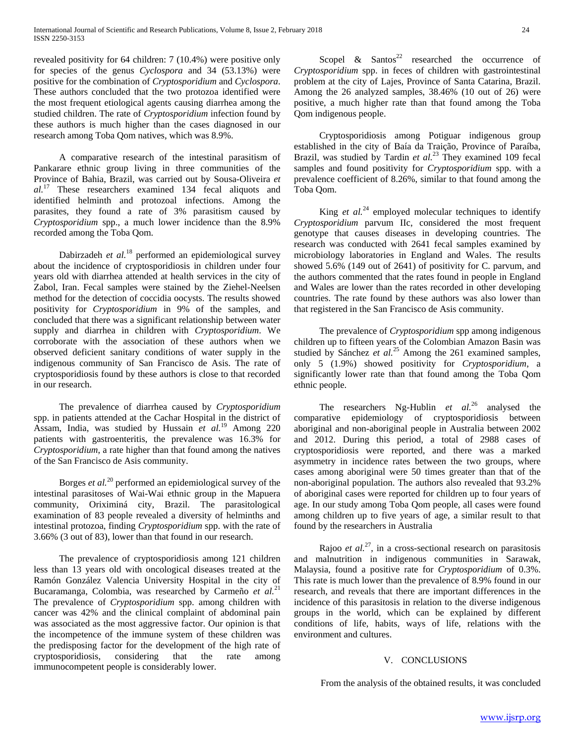revealed positivity for 64 children: 7 (10.4%) were positive only for species of the genus *Cyclospora* and 34 (53.13%) were positive for the combination of *Cryptosporidium* and *Cyclospora*. These authors concluded that the two protozoa identified were the most frequent etiological agents causing diarrhea among the studied children. The rate of *Cryptosporidium* infection found by these authors is much higher than the cases diagnosed in our research among Toba Qom natives, which was 8.9%.

A comparative research of the intestinal parasitism of Pankarare ethnic group living in three communities of the Province of Bahia, Brazil, was carried out by Sousa-Oliveira *et al.*<sup>17</sup> These researchers examined 134 fecal aliquots and identified helminth and protozoal infections. Among the parasites, they found a rate of 3% parasitism caused by *Cryptosporidium* spp., a much lower incidence than the 8.9% recorded among the Toba Qom.

Dabirzadeh *et al.*<sup>18</sup> performed an epidemiological survey about the incidence of cryptosporidiosis in children under four years old with diarrhea attended at health services in the city of Zabol, Iran. Fecal samples were stained by the Ziehel-Neelsen method for the detection of coccidia oocysts. The results showed positivity for *Cryptosporidium* in 9% of the samples, and concluded that there was a significant relationship between water supply and diarrhea in children with *Cryptosporidium*. We corroborate with the association of these authors when we observed deficient sanitary conditions of water supply in the indigenous community of San Francisco de Asis. The rate of cryptosporidiosis found by these authors is close to that recorded in our research.

The prevalence of diarrhea caused by *Cryptosporidium* spp. in patients attended at the Cachar Hospital in the district of Assam, India, was studied by Hussain *et al.*<sup>19</sup> Among 220 patients with gastroenteritis, the prevalence was 16.3% for *Cryptosporidium*, a rate higher than that found among the natives of the San Francisco de Asis community.

Borges *et al.*<sup>20</sup> performed an epidemiological survey of the intestinal parasitoses of Wai-Wai ethnic group in the Mapuera community, Oriximiná city, Brazil. The parasitological examination of 83 people revealed a diversity of helminths and intestinal protozoa, finding *Cryptosporidium* spp. with the rate of 3.66% (3 out of 83), lower than that found in our research.

The prevalence of cryptosporidiosis among 121 children less than 13 years old with oncological diseases treated at the Ramón González Valencia University Hospital in the city of Bucaramanga, Colombia, was researched by Carmeño *et al.*<sup>21</sup> The prevalence of *Cryptosporidium* spp. among children with cancer was 42% and the clinical complaint of abdominal pain was associated as the most aggressive factor. Our opinion is that the incompetence of the immune system of these children was the predisposing factor for the development of the high rate of cryptosporidiosis, considering that the rate among immunocompetent people is considerably lower.

Scopel  $\&$  Santos<sup>22</sup> researched the occurrence of *Cryptosporidium* spp. in feces of children with gastrointestinal problem at the city of Lajes, Province of Santa Catarina, Brazil. Among the 26 analyzed samples, 38.46% (10 out of 26) were positive, a much higher rate than that found among the Toba Qom indigenous people.

Cryptosporidiosis among Potiguar indigenous group established in the city of Baía da Traição, Province of Paraíba, Brazil, was studied by Tardin *et al.*<sup>23</sup> They examined 109 fecal samples and found positivity for *Cryptosporidium* spp. with a prevalence coefficient of 8.26%, similar to that found among the Toba Qom.

King *et al.*<sup>24</sup> employed molecular techniques to identify *Cryptosporidium* parvum IIc, considered the most frequent genotype that causes diseases in developing countries. The research was conducted with 2641 fecal samples examined by microbiology laboratories in England and Wales. The results showed 5.6% (149 out of 2641) of positivity for C. parvum, and the authors commented that the rates found in people in England and Wales are lower than the rates recorded in other developing countries. The rate found by these authors was also lower than that registered in the San Francisco de Asis community.

The prevalence of *Cryptosporidium* spp among indigenous children up to fifteen years of the Colombian Amazon Basin was studied by Sánchez *et al.*<sup>25</sup> Among the 261 examined samples, only 5 (1.9%) showed positivity for *Cryptosporidium*, a significantly lower rate than that found among the Toba Qom ethnic people.

The researchers Ng-Hublin *et al.*<sup>26</sup> analysed the comparative epidemiology of cryptosporidiosis between aboriginal and non-aboriginal people in Australia between 2002 and 2012. During this period, a total of 2988 cases of cryptosporidiosis were reported, and there was a marked asymmetry in incidence rates between the two groups, where cases among aboriginal were 50 times greater than that of the non-aboriginal population. The authors also revealed that 93.2% of aboriginal cases were reported for children up to four years of age. In our study among Toba Qom people, all cases were found among children up to five years of age, a similar result to that found by the researchers in Australia

Rajoo *et al.*<sup>27</sup>, in a cross-sectional research on parasitosis and malnutrition in indigenous communities in Sarawak, Malaysia, found a positive rate for *Cryptosporidium* of 0.3%. This rate is much lower than the prevalence of 8.9% found in our research, and reveals that there are important differences in the incidence of this parasitosis in relation to the diverse indigenous groups in the world, which can be explained by different conditions of life, habits, ways of life, relations with the environment and cultures.

## V. CONCLUSIONS

From the analysis of the obtained results, it was concluded